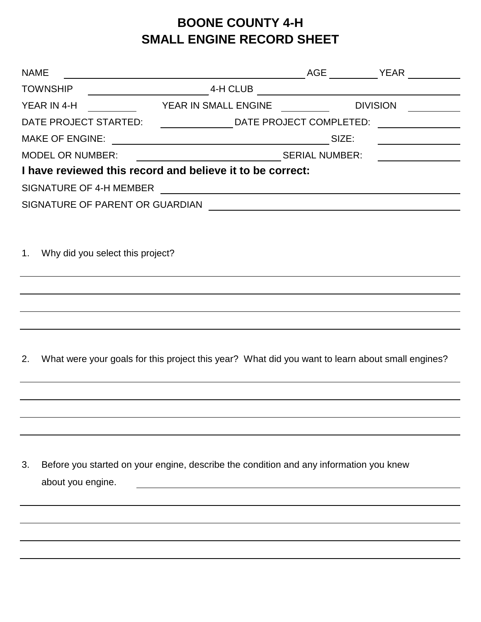## **BOONE COUNTY 4-H SMALL ENGINE RECORD SHEET**

| <b>NAME</b> |                                                                                                  |                                                                 |          |                         |                                                                                                                     |
|-------------|--------------------------------------------------------------------------------------------------|-----------------------------------------------------------------|----------|-------------------------|---------------------------------------------------------------------------------------------------------------------|
|             | <b>TOWNSHIP</b>                                                                                  |                                                                 | 4-H CLUB |                         | <u> 1980 - Johann Barn, mars eta bainar eta baina eta baina eta baina eta baina eta baina eta baina eta baina e</u> |
|             | YEAR IN 4-H                                                                                      | YEAR IN SMALL ENGINE                                            |          |                         | <b>DIVISION</b>                                                                                                     |
|             | DATE PROJECT STARTED:                                                                            |                                                                 |          | DATE PROJECT COMPLETED: |                                                                                                                     |
|             | <b>MAKE OF ENGINE:</b>                                                                           | <u> 1989 - Johann Barn, fransk politik amerikansk politik (</u> |          | SIZE:                   |                                                                                                                     |
|             | <b>MODEL OR NUMBER:</b>                                                                          |                                                                 |          |                         |                                                                                                                     |
|             | I have reviewed this record and believe it to be correct:                                        |                                                                 |          |                         |                                                                                                                     |
|             | SIGNATURE OF 4-H MEMBER                                                                          |                                                                 |          |                         | <u> 1989 - Johann Barnett, fransk politiker (d. 1989)</u>                                                           |
|             | SIGNATURE OF PARENT OR GUARDIAN                                                                  |                                                                 |          |                         | <u> 1980 - Johann Barn, fransk politik fotograf (d. 1980)</u>                                                       |
|             |                                                                                                  |                                                                 |          |                         |                                                                                                                     |
|             |                                                                                                  |                                                                 |          |                         |                                                                                                                     |
|             | 1. Why did you select this project?                                                              |                                                                 |          |                         |                                                                                                                     |
|             |                                                                                                  |                                                                 |          |                         |                                                                                                                     |
|             |                                                                                                  |                                                                 |          |                         |                                                                                                                     |
|             |                                                                                                  |                                                                 |          |                         |                                                                                                                     |
|             |                                                                                                  |                                                                 |          |                         |                                                                                                                     |
|             |                                                                                                  |                                                                 |          |                         |                                                                                                                     |
| 2.          | What were your goals for this project this year? What did you want to learn about small engines? |                                                                 |          |                         |                                                                                                                     |
|             |                                                                                                  |                                                                 |          |                         |                                                                                                                     |
|             |                                                                                                  |                                                                 |          |                         |                                                                                                                     |
|             |                                                                                                  |                                                                 |          |                         |                                                                                                                     |
|             |                                                                                                  |                                                                 |          |                         |                                                                                                                     |
|             |                                                                                                  |                                                                 |          |                         |                                                                                                                     |
| 3.          | Before you started on your engine, describe the condition and any information you knew           |                                                                 |          |                         |                                                                                                                     |
|             |                                                                                                  |                                                                 |          |                         |                                                                                                                     |
|             | about you engine.                                                                                |                                                                 |          |                         |                                                                                                                     |
|             |                                                                                                  |                                                                 |          |                         |                                                                                                                     |
|             |                                                                                                  |                                                                 |          |                         |                                                                                                                     |
|             |                                                                                                  |                                                                 |          |                         |                                                                                                                     |
|             |                                                                                                  |                                                                 |          |                         |                                                                                                                     |
|             |                                                                                                  |                                                                 |          |                         |                                                                                                                     |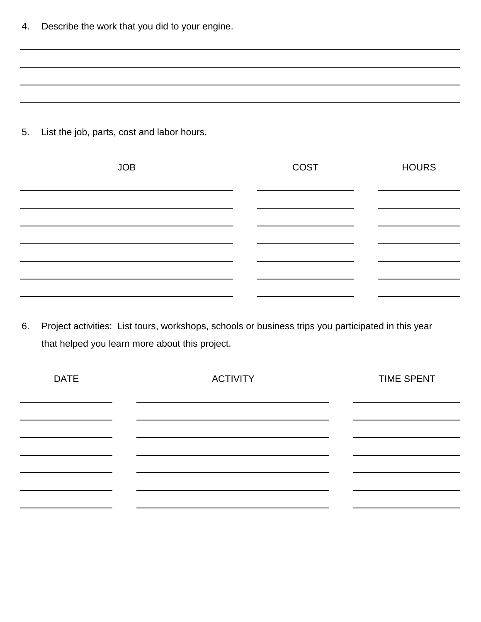4. Describe the work that you did to your engine.

5. List the job, parts, cost and labor hours.

| <b>JOB</b> | COST | <b>HOURS</b> |
|------------|------|--------------|
|            |      |              |
|            |      |              |
|            |      |              |
|            |      |              |
|            |      |              |
|            |      |              |

6. Project activities: List tours, workshops, schools or business trips you participated in this year that helped you learn more about this project.

| <b>DATE</b> | <b>ACTIVITY</b> | <b>TIME SPENT</b> |
|-------------|-----------------|-------------------|
|             |                 |                   |
|             |                 |                   |
|             |                 |                   |
|             |                 |                   |
|             |                 |                   |
|             |                 |                   |